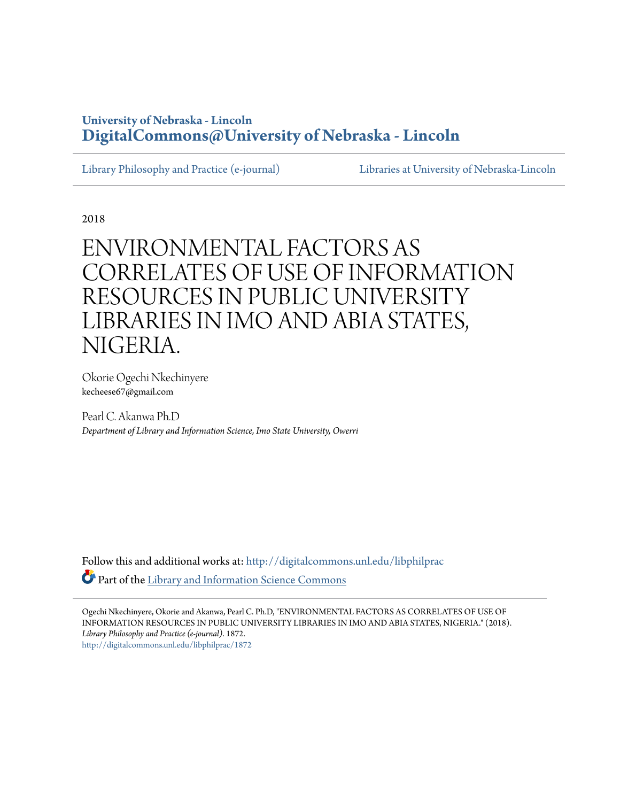### **University of Nebraska - Lincoln [DigitalCommons@University of Nebraska - Lincoln](http://digitalcommons.unl.edu?utm_source=digitalcommons.unl.edu%2Flibphilprac%2F1872&utm_medium=PDF&utm_campaign=PDFCoverPages)**

[Library Philosophy and Practice \(e-journal\)](http://digitalcommons.unl.edu/libphilprac?utm_source=digitalcommons.unl.edu%2Flibphilprac%2F1872&utm_medium=PDF&utm_campaign=PDFCoverPages) [Libraries at University of Nebraska-Lincoln](http://digitalcommons.unl.edu/libraries?utm_source=digitalcommons.unl.edu%2Flibphilprac%2F1872&utm_medium=PDF&utm_campaign=PDFCoverPages)

2018

# ENVIRONMENTAL FACTORS AS CORRELATES OF USE OF INFORMATION RESOURCES IN PUBLIC UNIVERSITY LIBRARIES IN IMO AND ABIA STATES, NIGERIA.

Okorie Ogechi Nkechinyere kecheese67@gmail.com

Pearl C. Akanwa Ph.D *Department of Library and Information Science, Imo State University, Owerri*

Follow this and additional works at: [http://digitalcommons.unl.edu/libphilprac](http://digitalcommons.unl.edu/libphilprac?utm_source=digitalcommons.unl.edu%2Flibphilprac%2F1872&utm_medium=PDF&utm_campaign=PDFCoverPages) Part of the [Library and Information Science Commons](http://network.bepress.com/hgg/discipline/1018?utm_source=digitalcommons.unl.edu%2Flibphilprac%2F1872&utm_medium=PDF&utm_campaign=PDFCoverPages)

Ogechi Nkechinyere, Okorie and Akanwa, Pearl C. Ph.D, "ENVIRONMENTAL FACTORS AS CORRELATES OF USE OF INFORMATION RESOURCES IN PUBLIC UNIVERSITY LIBRARIES IN IMO AND ABIA STATES, NIGERIA." (2018). *Library Philosophy and Practice (e-journal)*. 1872. [http://digitalcommons.unl.edu/libphilprac/1872](http://digitalcommons.unl.edu/libphilprac/1872?utm_source=digitalcommons.unl.edu%2Flibphilprac%2F1872&utm_medium=PDF&utm_campaign=PDFCoverPages)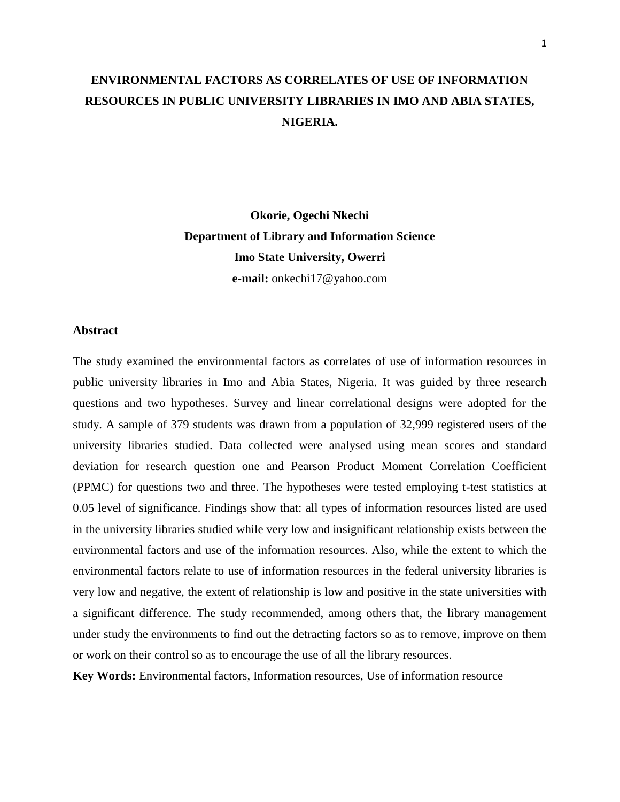# **ENVIRONMENTAL FACTORS AS CORRELATES OF USE OF INFORMATION RESOURCES IN PUBLIC UNIVERSITY LIBRARIES IN IMO AND ABIA STATES, NIGERIA.**

**Okorie, Ogechi Nkechi Department of Library and Information Science Imo State University, Owerri e-mail:** [onkechi17@yahoo.com](mailto:onkechi17@yahoo.com)

#### **Abstract**

The study examined the environmental factors as correlates of use of information resources in public university libraries in Imo and Abia States, Nigeria. It was guided by three research questions and two hypotheses. Survey and linear correlational designs were adopted for the study. A sample of 379 students was drawn from a population of 32,999 registered users of the university libraries studied. Data collected were analysed using mean scores and standard deviation for research question one and Pearson Product Moment Correlation Coefficient (PPMC) for questions two and three. The hypotheses were tested employing t-test statistics at 0.05 level of significance. Findings show that: all types of information resources listed are used in the university libraries studied while very low and insignificant relationship exists between the environmental factors and use of the information resources. Also, while the extent to which the environmental factors relate to use of information resources in the federal university libraries is very low and negative, the extent of relationship is low and positive in the state universities with a significant difference. The study recommended, among others that, the library management under study the environments to find out the detracting factors so as to remove, improve on them or work on their control so as to encourage the use of all the library resources.

**Key Words:** Environmental factors, Information resources, Use of information resource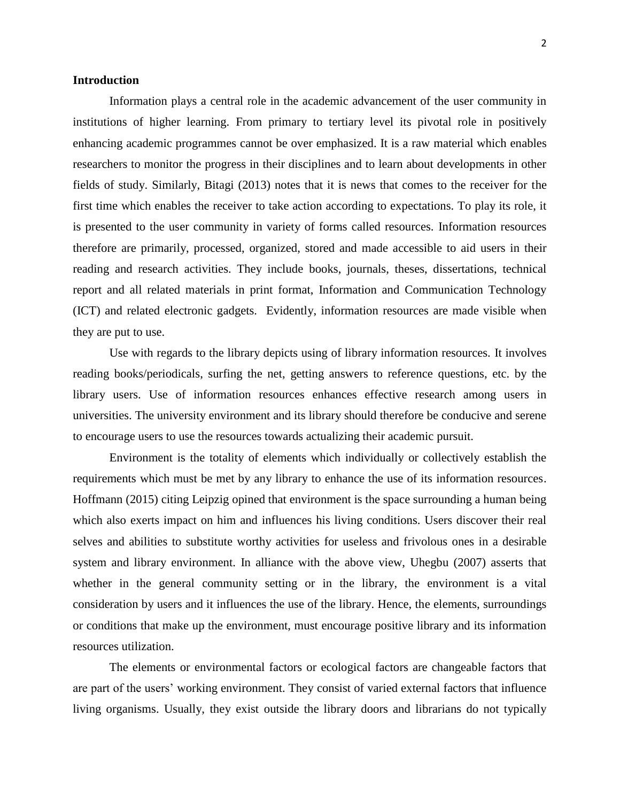#### **Introduction**

Information plays a central role in the academic advancement of the user community in institutions of higher learning. From primary to tertiary level its pivotal role in positively enhancing academic programmes cannot be over emphasized. It is a raw material which enables researchers to monitor the progress in their disciplines and to learn about developments in other fields of study. Similarly, Bitagi (2013) notes that it is news that comes to the receiver for the first time which enables the receiver to take action according to expectations. To play its role, it is presented to the user community in variety of forms called resources. Information resources therefore are primarily, processed, organized, stored and made accessible to aid users in their reading and research activities. They include books, journals, theses, dissertations, technical report and all related materials in print format, Information and Communication Technology (ICT) and related electronic gadgets. Evidently, information resources are made visible when they are put to use.

Use with regards to the library depicts using of library information resources. It involves reading books/periodicals, surfing the net, getting answers to reference questions, etc. by the library users. Use of information resources enhances effective research among users in universities. The university environment and its library should therefore be conducive and serene to encourage users to use the resources towards actualizing their academic pursuit.

Environment is the totality of elements which individually or collectively establish the requirements which must be met by any library to enhance the use of its information resources. Hoffmann (2015) citing Leipzig opined that environment is the space surrounding a human being which also exerts impact on him and influences his living conditions. Users discover their real selves and abilities to substitute worthy activities for useless and frivolous ones in a desirable system and library environment. In alliance with the above view, Uhegbu (2007) asserts that whether in the general community setting or in the library, the environment is a vital consideration by users and it influences the use of the library. Hence, the elements, surroundings or conditions that make up the environment, must encourage positive library and its information resources utilization.

The elements or environmental factors or ecological factors are changeable factors that are part of the users' working environment. They consist of varied external factors that influence [living organisms.](https://en.wikipedia.org/wiki/Living_organism) Usually, they exist outside the library doors and librarians do not typically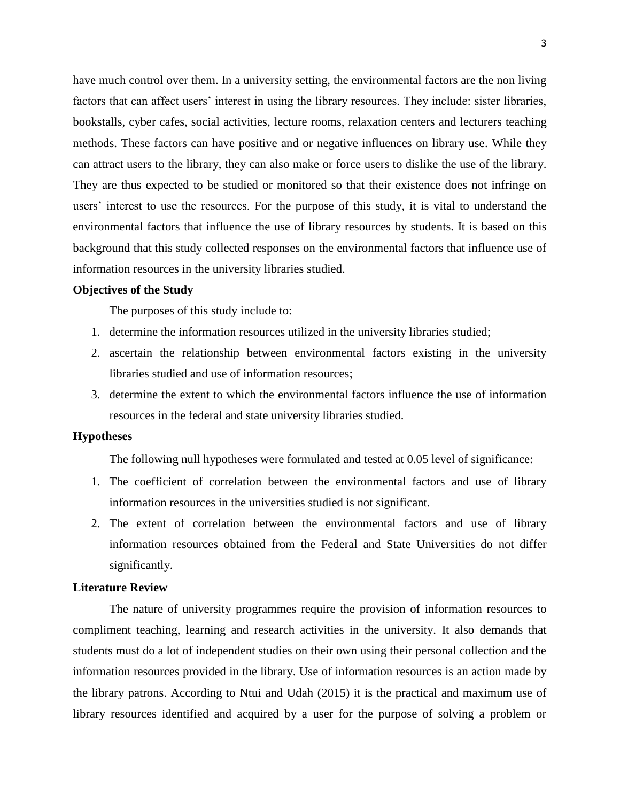have much control over them. In a university setting, the environmental factors are the non living factors that can affect users' interest in using the library resources. They include: sister libraries, bookstalls, cyber cafes, social activities, lecture rooms, relaxation centers and lecturers teaching methods. These factors can have positive and or negative influences on library use. While they can attract users to the library, they can also make or force users to dislike the use of the library. They are thus expected to be studied or monitored so that their existence does not infringe on users' interest to use the resources. For the purpose of this study, it is vital to understand the environmental factors that influence the use of library resources by students. It is based on this background that this study collected responses on the environmental factors that influence use of information resources in the university libraries studied.

#### **Objectives of the Study**

The purposes of this study include to:

- 1. determine the information resources utilized in the university libraries studied;
- 2. ascertain the relationship between environmental factors existing in the university libraries studied and use of information resources;
- 3. determine the extent to which the environmental factors influence the use of information resources in the federal and state university libraries studied.

#### **Hypotheses**

The following null hypotheses were formulated and tested at 0.05 level of significance:

- 1. The coefficient of correlation between the environmental factors and use of library information resources in the universities studied is not significant.
- 2. The extent of correlation between the environmental factors and use of library information resources obtained from the Federal and State Universities do not differ significantly.

#### **Literature Review**

The nature of university programmes require the provision of information resources to compliment teaching, learning and research activities in the university. It also demands that students must do a lot of independent studies on their own using their personal collection and the information resources provided in the library. Use of information resources is an action made by the library patrons. According to Ntui and Udah (2015) it is the practical and maximum use of library resources identified and acquired by a user for the purpose of solving a problem or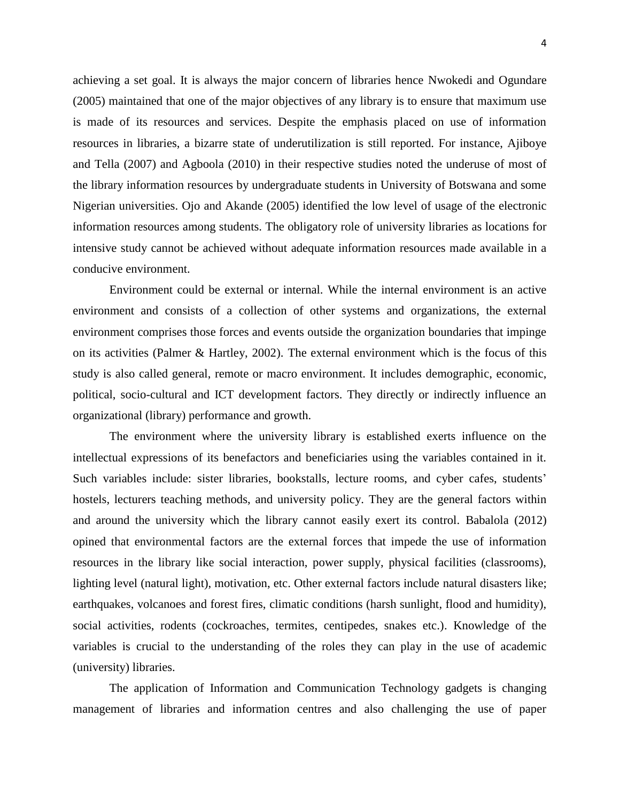achieving a set goal. It is always the major concern of libraries hence Nwokedi and Ogundare (2005) maintained that one of the major objectives of any library is to ensure that maximum use is made of its resources and services. Despite the emphasis placed on use of information resources in libraries, a bizarre state of underutilization is still reported. For instance, Ajiboye and Tella (2007) and Agboola (2010) in their respective studies noted the underuse of most of the library information resources by undergraduate students in University of Botswana and some Nigerian universities. Ojo and Akande (2005) identified the low level of usage of the electronic information resources among students. The obligatory role of university libraries as locations for intensive study cannot be achieved without adequate information resources made available in a conducive environment.

Environment could be external or internal. While the internal environment is an active environment and consists of a collection of other systems and organizations, the external environment comprises those forces and events outside the organization boundaries that impinge on its activities (Palmer & Hartley, 2002). The external environment which is the focus of this study is also called general, remote or macro environment. It includes demographic, economic, political, socio-cultural and ICT development factors. They directly or indirectly influence an organizational (library) performance and growth.

The environment where the university library is established exerts influence on the intellectual expressions of its benefactors and beneficiaries using the variables contained in it. Such variables include: sister libraries, bookstalls, lecture rooms, and cyber cafes, students' hostels, lecturers teaching methods, and university policy. They are the general factors within and around the university which the library cannot easily exert its control. Babalola (2012) opined that environmental factors are the external forces that impede the use of information resources in the library like social interaction, power supply, physical facilities (classrooms), lighting level (natural light), motivation, etc. Other external factors include natural disasters like; earthquakes, volcanoes and forest fires, climatic conditions (harsh sunlight, flood and humidity), social activities, rodents (cockroaches, termites, centipedes, snakes etc.). Knowledge of the variables is crucial to the understanding of the roles they can play in the use of academic (university) libraries.

The application of Information and Communication Technology gadgets is changing management of libraries and information centres and also challenging the use of paper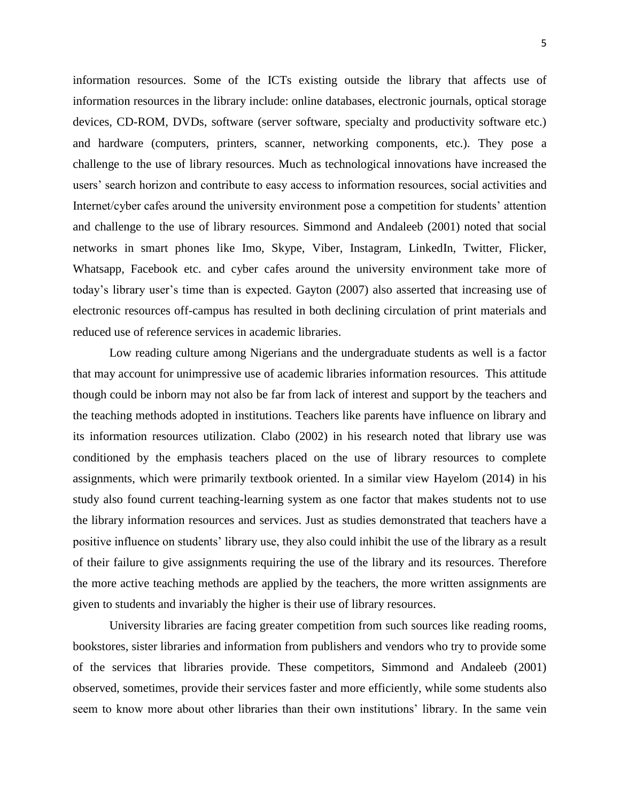information resources. Some of the ICTs existing outside the library that affects use of information resources in the library include: online databases, electronic journals, optical storage devices, CD-ROM, DVDs, software (server software, specialty and productivity software etc.) and hardware (computers, printers, scanner, networking components, etc.). They pose a challenge to the use of library resources. Much as technological innovations have increased the users' search horizon and contribute to easy access to information resources, social activities and Internet/cyber cafes around the university environment pose a competition for students' attention and challenge to the use of library resources. Simmond and Andaleeb (2001) noted that social networks in smart phones like Imo, Skype, Viber, Instagram, LinkedIn, Twitter, Flicker, Whatsapp, Facebook etc. and cyber cafes around the university environment take more of today's library user's time than is expected. Gayton (2007) also asserted that increasing use of electronic resources off-campus has resulted in both declining circulation of print materials and reduced use of reference services in academic libraries.

Low reading culture among Nigerians and the undergraduate students as well is a factor that may account for unimpressive use of academic libraries information resources. This attitude though could be inborn may not also be far from lack of interest and support by the teachers and the teaching methods adopted in institutions. Teachers like parents have influence on library and its information resources utilization. Clabo (2002) in his research noted that library use was conditioned by the emphasis teachers placed on the use of library resources to complete assignments, which were primarily textbook oriented. In a similar view Hayelom (2014) in his study also found current teaching-learning system as one factor that makes students not to use the library information resources and services. Just as studies demonstrated that teachers have a positive influence on students' library use, they also could inhibit the use of the library as a result of their failure to give assignments requiring the use of the library and its resources. Therefore the more active teaching methods are applied by the teachers, the more written assignments are given to students and invariably the higher is their use of library resources.

University libraries are facing greater competition from such sources like reading rooms, bookstores, sister libraries and information from publishers and vendors who try to provide some of the services that libraries provide. These competitors, Simmond and Andaleeb (2001) observed, sometimes, provide their services faster and more efficiently, while some students also seem to know more about other libraries than their own institutions' library. In the same vein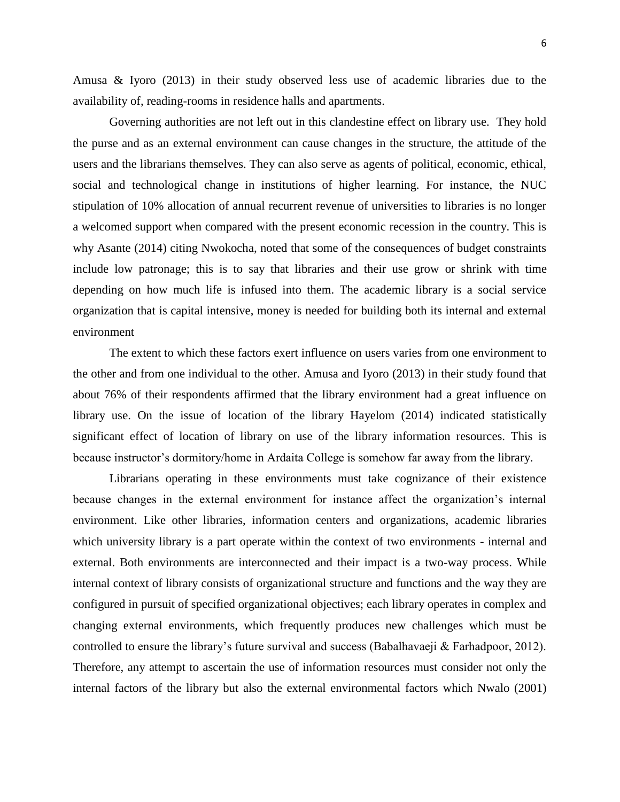Amusa & Iyoro (2013) in their study observed less use of academic libraries due to the availability of, reading-rooms in residence halls and apartments.

Governing authorities are not left out in this clandestine effect on library use. They hold the purse and as an external environment can cause changes in the structure, the attitude of the users and the librarians themselves. They can also serve as agents of political, economic, ethical, social and technological change in institutions of higher learning. For instance, the NUC stipulation of 10% allocation of annual recurrent revenue of universities to libraries is no longer a welcomed support when compared with the present economic recession in the country. This is why Asante (2014) citing Nwokocha, noted that some of the consequences of budget constraints include low patronage; this is to say that libraries and their use grow or shrink with time depending on how much life is infused into them. The academic library is a social service organization that is capital intensive, money is needed for building both its internal and external environment

The extent to which these factors exert influence on users varies from one environment to the other and from one individual to the other. Amusa and Iyoro (2013) in their study found that about 76% of their respondents affirmed that the library environment had a great influence on library use. On the issue of location of the library Hayelom (2014) indicated statistically significant effect of location of library on use of the library information resources. This is because instructor's dormitory/home in Ardaita College is somehow far away from the library.

Librarians operating in these environments must take cognizance of their existence because changes in the external environment for instance affect the organization's internal environment. Like other libraries, information centers and organizations, academic libraries which university library is a part operate within the context of two environments - internal and external. Both environments are interconnected and their impact is a two-way process. While internal context of library consists of organizational structure and functions and the way they are configured in pursuit of specified organizational objectives; each library operates in complex and changing external environments, which frequently produces new challenges which must be controlled to ensure the library's future survival and success (Babalhavaeji & Farhadpoor, 2012). Therefore, any attempt to ascertain the use of information resources must consider not only the internal factors of the library but also the external environmental factors which Nwalo (2001)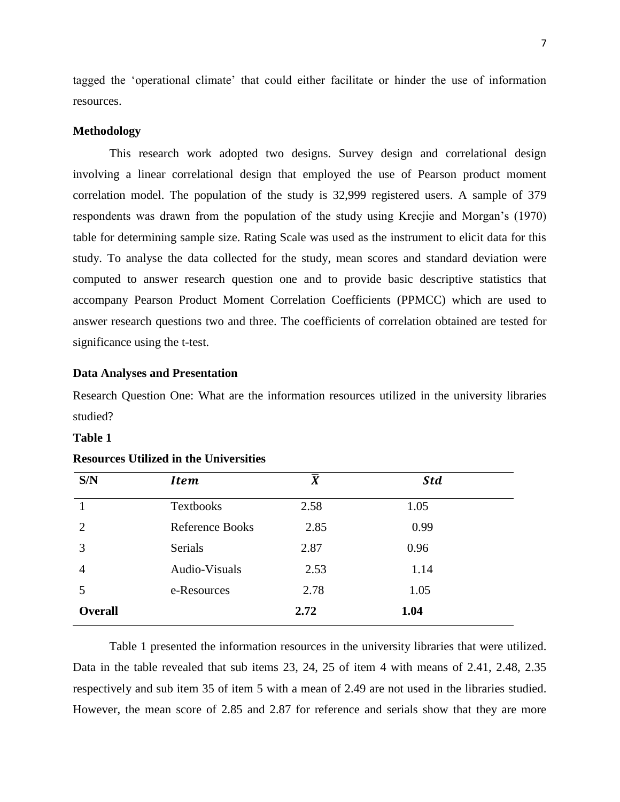tagged the 'operational climate' that could either facilitate or hinder the use of information resources.

#### **Methodology**

This research work adopted two designs. Survey design and correlational design involving a linear correlational design that employed the use of Pearson product moment correlation model. The population of the study is 32,999 registered users. A sample of 379 respondents was drawn from the population of the study using Krecjie and Morgan's (1970) table for determining sample size. Rating Scale was used as the instrument to elicit data for this study. To analyse the data collected for the study, mean scores and standard deviation were computed to answer research question one and to provide basic descriptive statistics that accompany Pearson Product Moment Correlation Coefficients (PPMCC) which are used to answer research questions two and three. The coefficients of correlation obtained are tested for significance using the t-test.

#### **Data Analyses and Presentation**

Research Question One: What are the information resources utilized in the university libraries studied?

#### **Table 1**

| S/N            | <b>Item</b>            | $\overline{X}$ | <b>Std</b> |  |
|----------------|------------------------|----------------|------------|--|
|                | <b>Textbooks</b>       | 2.58           | 1.05       |  |
| 2              | <b>Reference Books</b> | 2.85           | 0.99       |  |
| 3              | <b>Serials</b>         | 2.87           | 0.96       |  |
| 4              | Audio-Visuals          | 2.53           | 1.14       |  |
| 5              | e-Resources            | 2.78           | 1.05       |  |
| <b>Overall</b> |                        | 2.72           | 1.04       |  |

#### **Resources Utilized in the Universities**

Table 1 presented the information resources in the university libraries that were utilized. Data in the table revealed that sub items 23, 24, 25 of item 4 with means of 2.41, 2.48, 2.35 respectively and sub item 35 of item 5 with a mean of 2.49 are not used in the libraries studied. However, the mean score of 2.85 and 2.87 for reference and serials show that they are more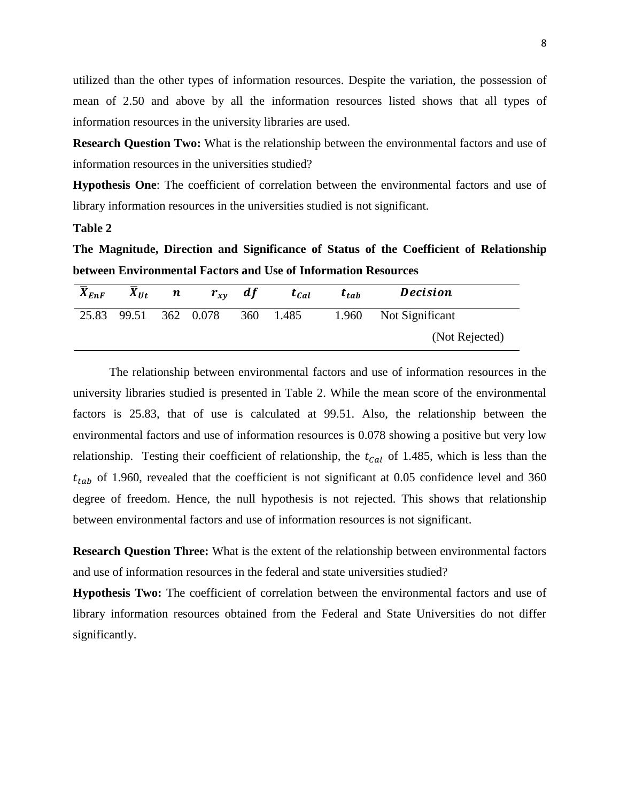utilized than the other types of information resources. Despite the variation, the possession of mean of 2.50 and above by all the information resources listed shows that all types of information resources in the university libraries are used.

**Research Question Two:** What is the relationship between the environmental factors and use of information resources in the universities studied?

**Hypothesis One**: The coefficient of correlation between the environmental factors and use of library information resources in the universities studied is not significant.

#### **Table 2**

**The Magnitude, Direction and Significance of Status of the Coefficient of Relationship between Environmental Factors and Use of Information Resources**

| $\overline{X}_{EnF}$ | $X_{Ut}$              | $n \quad r_{xy} \quad df$ | $t_{Cal}$ |       | $t_{tab}$ | <b>Decision</b>       |  |  |
|----------------------|-----------------------|---------------------------|-----------|-------|-----------|-----------------------|--|--|
|                      | 25.83 99.51 362 0.078 |                           | 360       | 1.485 |           | 1.960 Not Significant |  |  |
|                      |                       |                           |           |       |           | (Not Rejected)        |  |  |

The relationship between environmental factors and use of information resources in the university libraries studied is presented in Table 2. While the mean score of the environmental factors is 25.83, that of use is calculated at 99.51. Also, the relationship between the environmental factors and use of information resources is 0.078 showing a positive but very low relationship. Testing their coefficient of relationship, the  $t_{Cal}$  of 1.485, which is less than the  $t_{tab}$  of 1.960, revealed that the coefficient is not significant at 0.05 confidence level and 360 degree of freedom. Hence, the null hypothesis is not rejected. This shows that relationship between environmental factors and use of information resources is not significant.

**Research Question Three:** What is the extent of the relationship between environmental factors and use of information resources in the federal and state universities studied?

**Hypothesis Two:** The coefficient of correlation between the environmental factors and use of library information resources obtained from the Federal and State Universities do not differ significantly.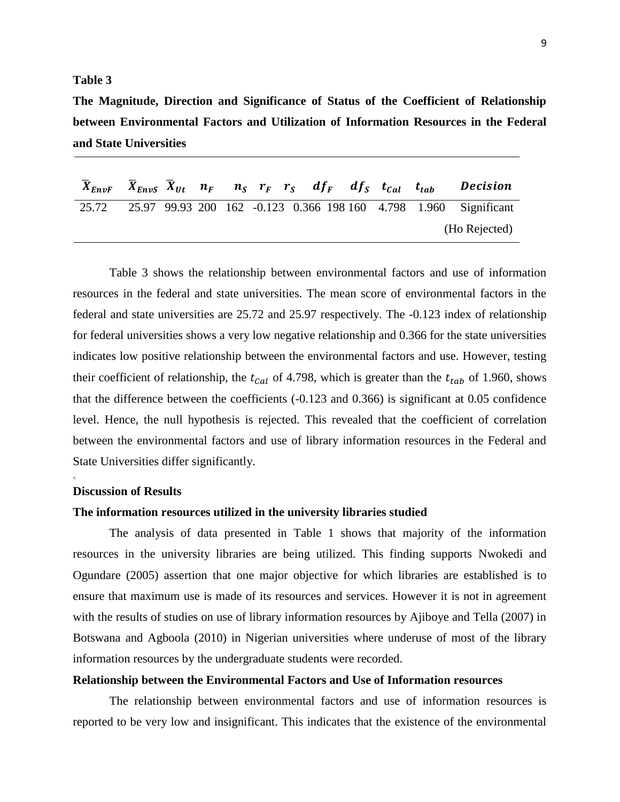#### **Table 3**

**The Magnitude, Direction and Significance of Status of the Coefficient of Relationship between Environmental Factors and Utilization of Information Resources in the Federal and State Universities**

| $X_{EnvF}$ $X_{EnvS}$ $X_{Ut}$ $n_F$ $n_S$ $r_F$ $r_S$ $df_F$ $df_S$ $t_{Cal}$ $t_{tab}$ |  |  |  |  |  | Decision                                                         |
|------------------------------------------------------------------------------------------|--|--|--|--|--|------------------------------------------------------------------|
| 25.72                                                                                    |  |  |  |  |  | 25.97 99.93 200 162 -0.123 0.366 198 160 4.798 1.960 Significant |
|                                                                                          |  |  |  |  |  | (Ho Rejected)                                                    |

Table 3 shows the relationship between environmental factors and use of information resources in the federal and state universities. The mean score of environmental factors in the federal and state universities are 25.72 and 25.97 respectively. The -0.123 index of relationship for federal universities shows a very low negative relationship and 0.366 for the state universities indicates low positive relationship between the environmental factors and use. However, testing their coefficient of relationship, the  $t_{cal}$  of 4.798, which is greater than the  $t_{tab}$  of 1.960, shows that the difference between the coefficients (-0.123 and 0.366) is significant at 0.05 confidence level. Hence, the null hypothesis is rejected. This revealed that the coefficient of correlation between the environmental factors and use of library information resources in the Federal and State Universities differ significantly.

#### **Discussion of Results**

**<**

#### **The information resources utilized in the university libraries studied**

The analysis of data presented in Table 1 shows that majority of the information resources in the university libraries are being utilized. This finding supports Nwokedi and Ogundare (2005) assertion that one major objective for which libraries are established is to ensure that maximum use is made of its resources and services. However it is not in agreement with the results of studies on use of library information resources by Ajiboye and Tella (2007) in Botswana and Agboola (2010) in Nigerian universities where underuse of most of the library information resources by the undergraduate students were recorded.

#### **Relationship between the Environmental Factors and Use of Information resources**

The relationship between environmental factors and use of information resources is reported to be very low and insignificant. This indicates that the existence of the environmental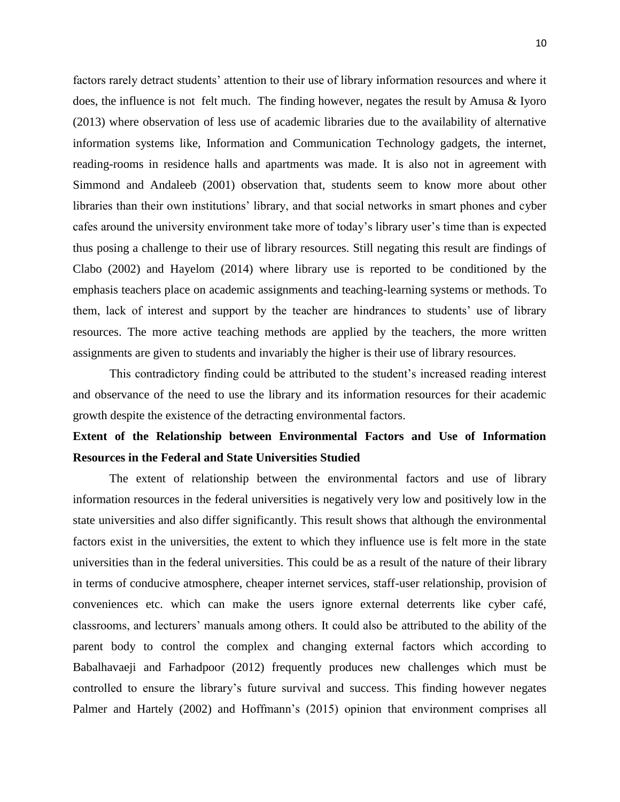factors rarely detract students' attention to their use of library information resources and where it does, the influence is not felt much. The finding however, negates the result by Amusa & Iyoro (2013) where observation of less use of academic libraries due to the availability of alternative information systems like, Information and Communication Technology gadgets, the internet, reading-rooms in residence halls and apartments was made. It is also not in agreement with Simmond and Andaleeb (2001) observation that, students seem to know more about other libraries than their own institutions' library, and that social networks in smart phones and cyber cafes around the university environment take more of today's library user's time than is expected thus posing a challenge to their use of library resources. Still negating this result are findings of Clabo (2002) and Hayelom (2014) where library use is reported to be conditioned by the emphasis teachers place on academic assignments and teaching-learning systems or methods. To them, lack of interest and support by the teacher are hindrances to students' use of library resources. The more active teaching methods are applied by the teachers, the more written assignments are given to students and invariably the higher is their use of library resources.

This contradictory finding could be attributed to the student's increased reading interest and observance of the need to use the library and its information resources for their academic growth despite the existence of the detracting environmental factors.

## **Extent of the Relationship between Environmental Factors and Use of Information Resources in the Federal and State Universities Studied**

The extent of relationship between the environmental factors and use of library information resources in the federal universities is negatively very low and positively low in the state universities and also differ significantly. This result shows that although the environmental factors exist in the universities, the extent to which they influence use is felt more in the state universities than in the federal universities. This could be as a result of the nature of their library in terms of conducive atmosphere, cheaper internet services, staff-user relationship, provision of conveniences etc. which can make the users ignore external deterrents like cyber café, classrooms, and lecturers' manuals among others. It could also be attributed to the ability of the parent body to control the complex and changing external factors which according to Babalhavaeji and Farhadpoor (2012) frequently produces new challenges which must be controlled to ensure the library's future survival and success. This finding however negates Palmer and Hartely (2002) and Hoffmann's (2015) opinion that environment comprises all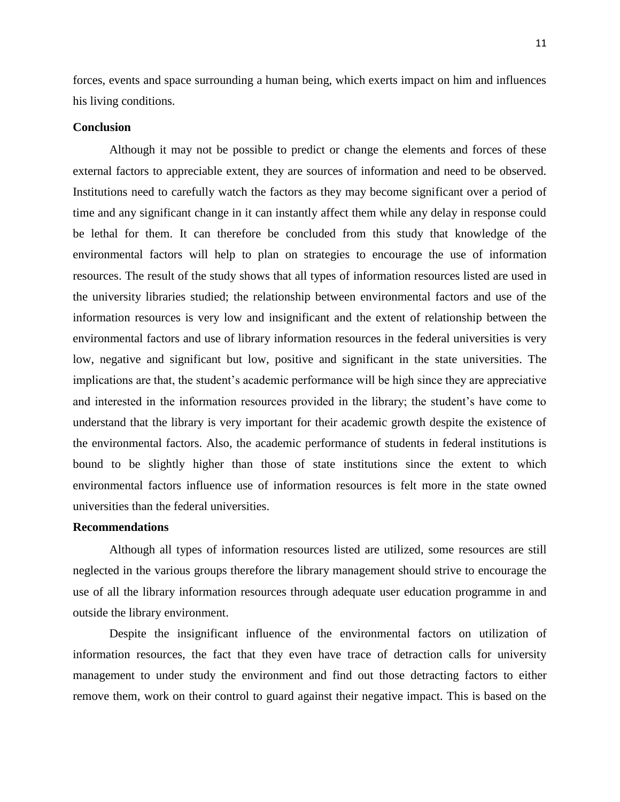forces, events and space surrounding a human being, which exerts impact on him and influences his living conditions.

#### **Conclusion**

Although it may not be possible to predict or change the elements and forces of these external factors to appreciable extent, they are sources of information and need to be observed. Institutions need to carefully watch the factors as they may become significant over a period of time and any significant change in it can instantly affect them while any delay in response could be lethal for them. It can therefore be concluded from this study that knowledge of the environmental factors will help to plan on strategies to encourage the use of information resources. The result of the study shows that all types of information resources listed are used in the university libraries studied; the relationship between environmental factors and use of the information resources is very low and insignificant and the extent of relationship between the environmental factors and use of library information resources in the federal universities is very low, negative and significant but low, positive and significant in the state universities. The implications are that, the student's academic performance will be high since they are appreciative and interested in the information resources provided in the library; the student's have come to understand that the library is very important for their academic growth despite the existence of the environmental factors. Also, the academic performance of students in federal institutions is bound to be slightly higher than those of state institutions since the extent to which environmental factors influence use of information resources is felt more in the state owned universities than the federal universities.

#### **Recommendations**

Although all types of information resources listed are utilized, some resources are still neglected in the various groups therefore the library management should strive to encourage the use of all the library information resources through adequate user education programme in and outside the library environment.

Despite the insignificant influence of the environmental factors on utilization of information resources, the fact that they even have trace of detraction calls for university management to under study the environment and find out those detracting factors to either remove them, work on their control to guard against their negative impact. This is based on the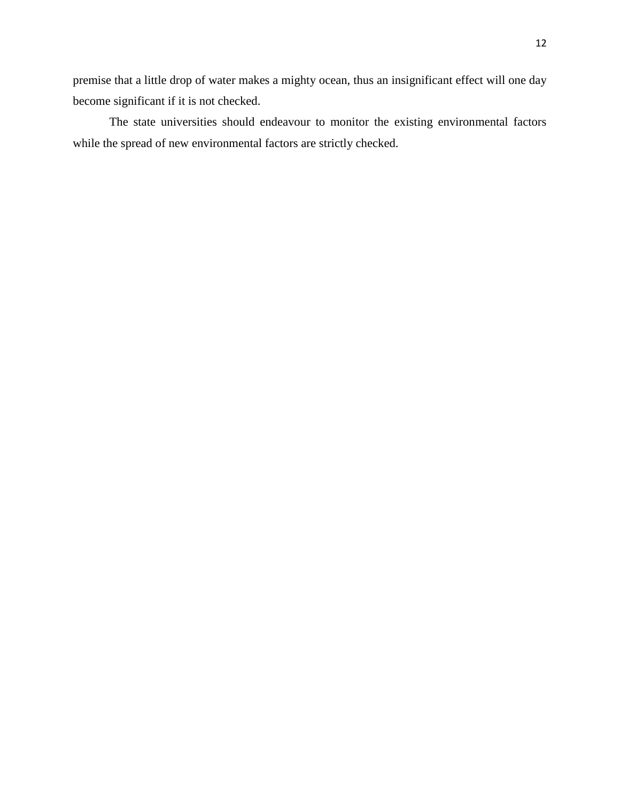premise that a little drop of water makes a mighty ocean, thus an insignificant effect will one day become significant if it is not checked.

The state universities should endeavour to monitor the existing environmental factors while the spread of new environmental factors are strictly checked.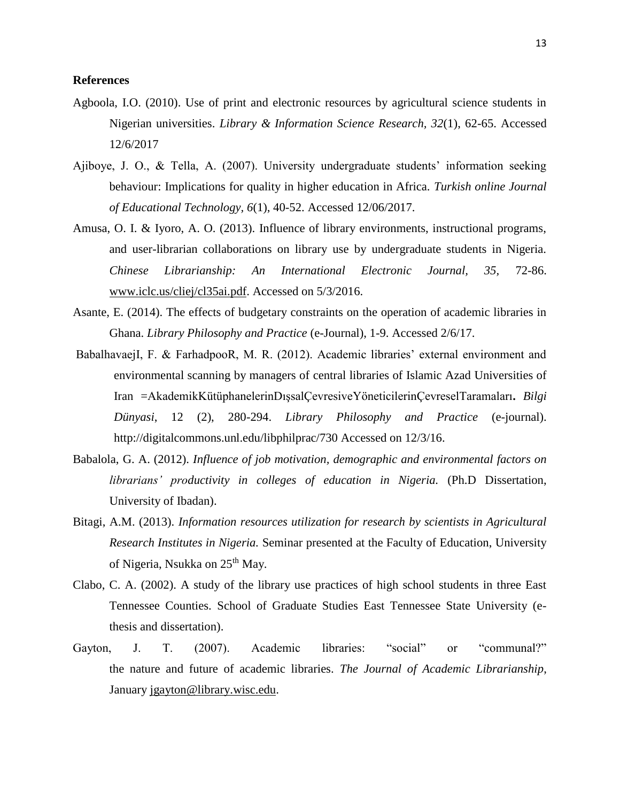#### **References**

- Agboola, I.O. (2010). Use of print and electronic resources by agricultural science students in Nigerian universities. *Library & Information Science Research, 32*(1), 62-65. Accessed 12/6/2017
- Ajiboye, J. O., & Tella, A. (2007). University undergraduate students' information seeking behaviour: Implications for quality in higher education in Africa. *Turkish online Journal of Educational Technology, 6*(1), 40-52. Accessed 12/06/2017.
- Amusa, O. I. & Iyoro, A. O. (2013). Influence of library environments, instructional programs, and user-librarian collaborations on library use by undergraduate students in Nigeria. *Chinese Librarianship: An International Electronic Journal, 35,* 72-86. [www.iclc.us/cliej/cl35ai.pdf.](http://www.iclc.us/cliej/cl35ai.pdf) Accessed on 5/3/2016.
- Asante, E. (2014). The effects of budgetary constraints on the operation of academic libraries in Ghana. *Library Philosophy and Practice* (e-Journal), 1-9. Accessed 2/6/17.
- BabalhavaejI, F. & FarhadpooR, M. R. (2012). Academic libraries' external environment and environmental scanning by managers of central libraries of Islamic Azad Universities of Iran =AkademikKütüphanelerinDışsalÇevresiveYöneticilerinÇevreselTaramaları**.** *Bilgi Dünyasi*, 12 (2), 280-294. *Library Philosophy and Practice* (e-journal). http://digitalcommons.unl.edu/libphilprac/730 Accessed on 12/3/16.
- Babalola, G. A. (2012). *Influence of job motivation, demographic and environmental factors on librarians' productivity in colleges of education in Nigeria.* (Ph.D Dissertation, University of Ibadan).
- Bitagi, A.M. (2013). *Information resources utilization for research by scientists in Agricultural Research Institutes in Nigeria.* Seminar presented at the Faculty of Education, University of Nigeria, Nsukka on 25<sup>th</sup> May.
- Clabo, C. A. (2002). A study of the library use practices of high school students in three East Tennessee Counties. School of Graduate Studies East Tennessee State University (ethesis and dissertation).
- Gayton, J. T. (2007). Academic libraries: "social" or "communal?" the nature and future of academic libraries. *The Journal of Academic Librarianship*, January [jgayton@library.wisc.edu.](mailto:jgayton@library.wisc.edu)